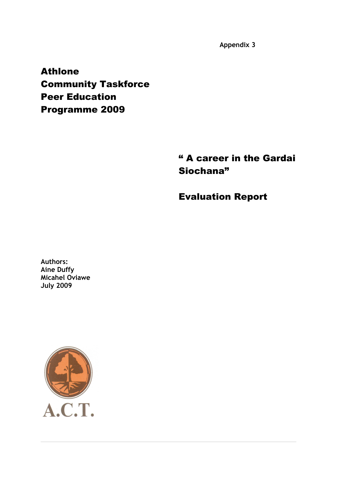**Appendix 3**

Athlone Community Taskforce Peer Education Programme 2009

> " A career in the Gardai Siochana"

Evaluation Report

**Authors: Aine Duffy Micahel Oviawe July 2009**

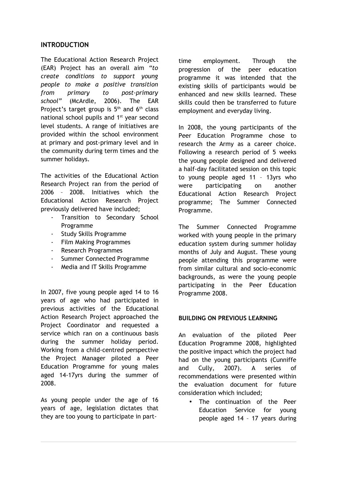## **INTRODUCTION**

The Educational Action Research Project (EAR) Project has an overall aim *"to create conditions to support young people to make a positive transition from primary to post-primary school"* (McArdle, 2006). The EAR Project's target group is  $5<sup>th</sup>$  and  $6<sup>th</sup>$  class national school pupils and 1<sup>st</sup> year second level students. A range of initiatives are provided within the school environment at primary and post-primary level and in the community during term times and the summer holidays.

The activities of the Educational Action Research Project ran from the period of 2006 – 2008. Initiatives which the Educational Action Research Project previously delivered have included;

- Transition to Secondary School Programme
- Study Skills Programme
- Film Making Programmes
- Research Programmes
- Summer Connected Programme
- Media and IT Skills Programme

In 2007, five young people aged 14 to 16 years of age who had participated in previous activities of the Educational Action Research Project approached the Project Coordinator and requested a service which ran on a continuous basis during the summer holiday period. Working from a child-centred perspective the Project Manager piloted a Peer Education Programme for young males aged 14-17yrs during the summer of 2008.

As young people under the age of 16 years of age, legislation dictates that they are too young to participate in parttime employment. Through the progression of the peer education programme it was intended that the existing skills of participants would be enhanced and new skills learned. These skills could then be transferred to future employment and everyday living.

In 2008, the young participants of the Peer Education Programme chose to research the Army as a career choice. Following a research period of 5 weeks the young people designed and delivered a half-day facilitated session on this topic to young people aged 11 – 13yrs who were participating on another Educational Action Research Project programme; The Summer Connected Programme.

The Summer Connected Programme worked with young people in the primary education system during summer holiday months of July and August. These young people attending this programme were from similar cultural and socio-economic backgrounds, as were the young people participating in the Peer Education Programme 2008.

#### **BUILDING ON PREVIOUS LEARNING**

An evaluation of the piloted Peer Education Programme 2008, highlighted the positive impact which the project had had on the young participants (Cunniffe and Cully, 2007). A series of recommendations were presented within the evaluation document for future consideration which included;

The continuation of the Peer Education Service for young people aged 14 – 17 years during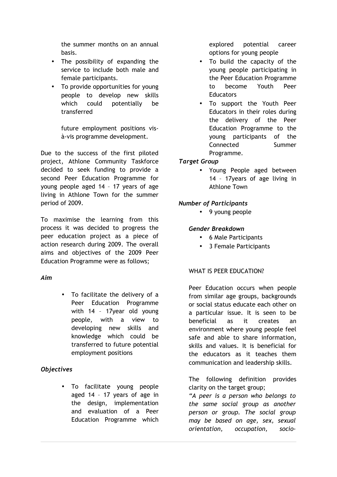the summer months on an annual basis.

- The possibility of expanding the service to include both male and female participants.
- To provide opportunities for young people to develop new skills which could potentially be transferred

future employment positions visà-vis programme development.

Due to the success of the first piloted project, Athlone Community Taskforce decided to seek funding to provide a second Peer Education Programme for young people aged 14 – 17 years of age living in Athlone Town for the summer period of 2009.

To maximise the learning from this process it was decided to progress the peer education project as a piece of action research during 2009. The overall aims and objectives of the 2009 Peer Education Programme were as follows;

### *Aim*

• To facilitate the delivery of a Peer Education Programme with 14 – 17year old young people, with a view to developing new skills and knowledge which could be transferred to future potential employment positions

# *Objectives*

• To facilitate young people aged 14 – 17 years of age in the design, implementation and evaluation of a Peer Education Programme which

explored potential career options for young people

- To build the capacity of the young people participating in the Peer Education Programme to become Youth Peer **Educators**
- To support the Youth Peer Educators in their roles during the delivery of the Peer Education Programme to the young participants of the Connected Summer Programme.

# *Target Group*

• Young People aged between 14 – 17years of age living in Athlone Town

## *Number of Participants*

• 9 young people

## *Gender Breakdown*

- 6 Male Participants
- 3 Female Participants

### WHAT IS PEER EDUCATION?

Peer Education occurs when people from similar age groups, backgrounds or social status educate each other on a particular issue. It is seen to be beneficial as it creates an environment where young people feel safe and able to share information, skills and values. It is beneficial for the educators as it teaches them communication and leadership skills.

The following definition provides clarity on the target group;

*"A peer is a person who belongs to the same social group as another person or group. The social group may be based on age, sex, sexual orientation, occupation, socio-*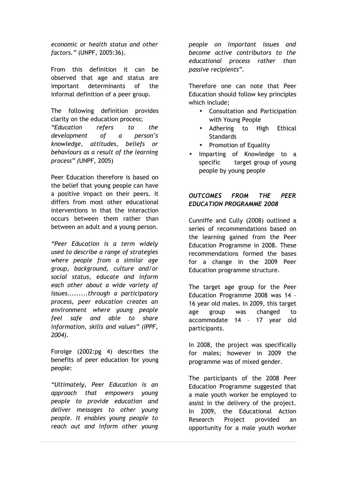*economic or health status and other factors."* (UNPF, 2005:36).

From this definition it can be observed that age and status are important determinants of the informal definition of a peer group.

The following definition provides clarity on the education process; *"Education refers to the development of a person's knowledge, attitudes, beliefs or behaviours as a result of the learning process" (*UNPF, 2005)

Peer Education therefore is based on the belief that young people can have a positive impact on their peers. It differs from most other educational interventions in that the interaction occurs between them rather than between an adult and a young person.

*"Peer Education is a term widely used to describe a range of strategies where people from a similar age group, background, culture and/or social status, educate and inform each other about a wide variety of issues.........through a participatory process, peer education creates an environment where young people feel safe and able to share information, skills and values" (IPPF, 2004).*

Foroige (2002:pg 4) describes the benefits of peer education for young people:

*"Ultimately, Peer Education is an approach that empowers young people to provide education and deliver messages to other young people. It enables young people to reach out and inform other young* *people on important issues and become active contributors to the educational process rather than passive recipients".*

Therefore one can note that Peer Education should follow key principles which include;

- Consultation and Participation with Young People
- Adhering to High Ethical **Standards**
- Promotion of Equality
- Imparting of Knowledge to a specific target group of young people by young people

# *OUTCOMES FROM THE PEER EDUCATION PROGRAMME 2008*

Cunniffe and Cully (2008) outlined a series of recommendations based on the learning gained from the Peer Education Programme in 2008. These recommendations formed the bases for a change in the 2009 Peer Education programme structure.

The target age group for the Peer Education Programme 2008 was 14 – 16 year old males. In 2009, this target age group was changed to accommodate 14 – 17 year old participants.

In 2008, the project was specifically for males; however in 2009 the programme was of mixed gender.

The participants of the 2008 Peer Education Programme suggested that a male youth worker be employed to assist in the delivery of the project. In 2009, the Educational Action Research Project provided an opportunity for a male youth worker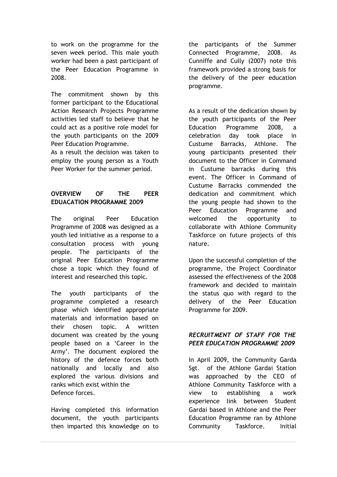to work on the programme for the seven week period. This male youth worker had been a past participant of the Peer Education Programme in 2008.

The commitment shown by this former participant to the Educational Action Research Projects Programme activities led staff to believe that he could act as a positive role model for the youth participants on the 2009 Peer Education Programme.

As a result the decision was taken to employ the young person as a Youth Peer Worker for the summer period.

# **OVERVIEW OF THE PEER EDUACATION PROGRAMME 2009**

The original Peer Education Programme of 2008 was designed as a youth led initiative as a response to a consultation process with young people. The participants of the original Peer Education Programme chose a topic which they found of interest and researched this topic.

The youth participants of the programme completed a research phase which identified appropriate materials and information based on their chosen topic. A written document was created by the young people based on a 'Career in the Army'. The document explored the history of the defence forces both nationally and locally and also explored the various divisions and ranks which exist within the Defence forces.

Having completed this information document, the youth participants then imparted this knowledge on to the participants of the Summer Connected Programme, 2008. As Cunniffe and Cully (2007) note this framework provided a strong basis for the delivery of the peer education programme.

As a result of the dedication shown by the youth participants of the Peer Education Programme 2008, a celebration day took place in Custume Barracks, Athlone. The young participants presented their document to the Officer in Command in Custume barracks during this event. The Officer in Command of Custume Barracks commended the dedication and commitment which the young people had shown to the Peer Education Programme and welcomed the opportunity to collaborate with Athlone Community Taskforce on future projects of this nature.

Upon the successful completion of the programme, the Project Coordinator assessed the effectiveness of the 2008 framework and decided to maintain the status quo with regard to the delivery of the Peer Education Programme for 2009.

## *RECRUITMENT OF STAFF FOR THE PEER EDUCATION PROGRAMME 2009*

In April 2009, the Community Garda Sgt. of the Athlone Gardai Station was approached by the CEO of Athlone Community Taskforce with a view to establishing a work experience link between Student Gardai based in Athlone and the Peer Education Programme ran by Athlone Community Taskforce. Initial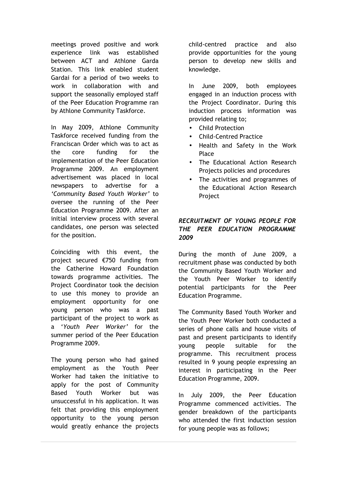meetings proved positive and work experience link was established between ACT and Athlone Garda Station. This link enabled student Gardai for a period of two weeks to work in collaboration with and support the seasonally employed staff of the Peer Education Programme ran by Athlone Community Taskforce.

In May 2009, Athlone Community Taskforce received funding from the Franciscan Order which was to act as the core funding for the implementation of the Peer Education Programme 2009. An employment advertisement was placed in local newspapers to advertise for a *'Community Based Youth Worker'* to oversee the running of the Peer Education Programme 2009. After an initial interview process with several candidates, one person was selected for the position.

Coinciding with this event, the project secured €750 funding from the Catherine Howard Foundation towards programme activities. The Project Coordinator took the decision to use this money to provide an employment opportunity for one young person who was a past participant of the project to work as a '*Youth Peer Worker'* for the summer period of the Peer Education Programme 2009.

The young person who had gained employment as the Youth Peer Worker had taken the initiative to apply for the post of Community Based Youth Worker but was unsuccessful in his application. It was felt that providing this employment opportunity to the young person would greatly enhance the projects

child-centred practice and also provide opportunities for the young person to develop new skills and knowledge.

In June 2009, both employees engaged in an induction process with the Project Coordinator. During this induction process information was provided relating to;

- Child Protection
- Child-Centred Practice
- Health and Safety in the Work Place
- The Educational Action Research Projects policies and procedures
- The activities and programmes of the Educational Action Research **Project**

# *RECRUITMENT OF YOUNG PEOPLE FOR THE PEER EDUCATION PROGRAMME 2009*

During the month of June 2009, a recruitment phase was conducted by both the Community Based Youth Worker and the Youth Peer Worker to identify potential participants for the Peer Education Programme.

The Community Based Youth Worker and the Youth Peer Worker both conducted a series of phone calls and house visits of past and present participants to identify young people suitable for the programme. This recruitment process resulted in 9 young people expressing an interest in participating in the Peer Education Programme, 2009.

In July 2009, the Peer Education Programme commenced activities. The gender breakdown of the participants who attended the first induction session for young people was as follows;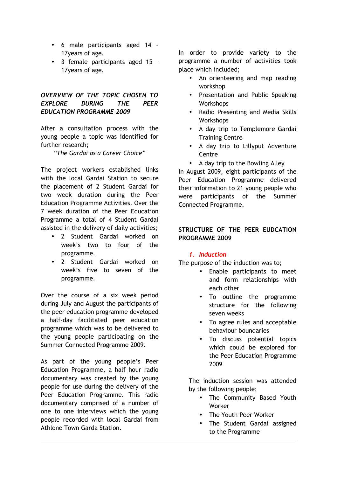- 6 male participants aged 14 17years of age.
- 3 female participants aged 15 17years of age.

## *OVERVIEW OF THE TOPIC CHOSEN TO EXPLORE DURING THE PEER EDUCATION PROGRAMME 2009*

After a consultation process with the young people a topic was identified for further research;

*"The Gardai as a Career Choice"*

The project workers established links with the local Gardai Station to secure the placement of 2 Student Gardai for two week duration during the Peer Education Programme Activities. Over the 7 week duration of the Peer Education Programme a total of 4 Student Gardai assisted in the delivery of daily activities;

- 2 Student Gardai worked on week's two to four of the programme.
- 2 Student Gardai worked on week's five to seven of the programme.

Over the course of a six week period during July and August the participants of the peer education programme developed a half-day facilitated peer education programme which was to be delivered to the young people participating on the Summer Connected Programme 2009.

As part of the young people's Peer Education Programme, a half hour radio documentary was created by the young people for use during the delivery of the Peer Education Programme. This radio documentary comprised of a number of one to one interviews which the young people recorded with local Gardai from Athlone Town Garda Station.

In order to provide variety to the programme a number of activities took place which included;

- An orienteering and map reading workshop
- Presentation and Public Speaking **Workshops**
- Radio Presenting and Media Skills **Workshops**
- A day trip to Templemore Gardai Training Centre
- A day trip to Lillyput Adventure Centre
- A day trip to the Bowling Alley

In August 2009, eight participants of the Peer Education Programme delivered their information to 21 young people who were participants of the Summer Connected Programme.

### **STRUCTURE OF THE PEER EUDCATION PROGRAMME 2009**

# *1. Induction*

The purpose of the induction was to;

- Enable participants to meet and form relationships with each other
- To outline the programme structure for the following seven weeks
- To agree rules and acceptable behaviour boundaries
- To discuss potential topics which could be explored for the Peer Education Programme 2009

The induction session was attended by the following people;

- The Community Based Youth Worker
- The Youth Peer Worker
- The Student Gardai assigned to the Programme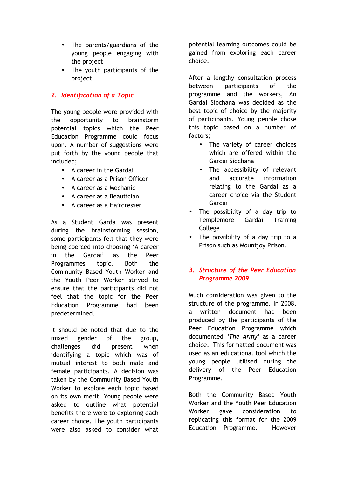- The parents/guardians of the young people engaging with the project
- The youth participants of the project

## *2. Identification of a Topic*

The young people were provided with the opportunity to brainstorm potential topics which the Peer Education Programme could focus upon. A number of suggestions were put forth by the young people that included;

- A career in the Gardai
- A career as a Prison Officer
- A career as a Mechanic
- A career as a Beautician
- A career as a Hairdresser

As a Student Garda was present during the brainstorming session, some participants felt that they were being coerced into choosing 'A career in the Gardai' as the Peer Programmes topic. Both the Community Based Youth Worker and the Youth Peer Worker strived to ensure that the participants did not feel that the topic for the Peer Education Programme had been predetermined.

It should be noted that due to the mixed gender of the group, challenges did present when identifying a topic which was of mutual interest to both male and female participants. A decision was taken by the Community Based Youth Worker to explore each topic based on its own merit. Young people were asked to outline what potential benefits there were to exploring each career choice. The youth participants were also asked to consider what potential learning outcomes could be gained from exploring each career choice.

After a lengthy consultation process between participants of the programme and the workers, An Gardai Siochana was decided as the best topic of choice by the majority of participants. Young people chose this topic based on a number of factors;

- The variety of career choices which are offered within the Gardai Siochana
- The accessibility of relevant and accurate information relating to the Gardai as a career choice via the Student Gardai
- The possibility of a day trip to Templemore Gardai Training College
- The possibility of a day trip to a Prison such as Mountjoy Prison.

## *3. Structure of the Peer Education Programme 2009*

Much consideration was given to the structure of the programme. In 2008, a written document had been produced by the participants of the Peer Education Programme which documented *'The Army'* as a career choice. This formatted document was used as an educational tool which the young people utilised during the delivery of the Peer Education Programme.

Both the Community Based Youth Worker and the Youth Peer Education Worker gave consideration to replicating this format for the 2009 Education Programme. However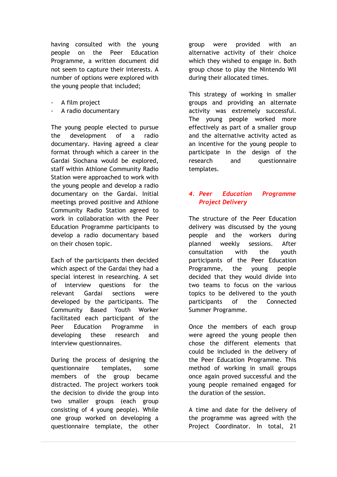having consulted with the young people on the Peer Education Programme, a written document did not seem to capture their interests. A number of options were explored with the young people that included;

- A film project
- A radio documentary

The young people elected to pursue the development of a radio documentary. Having agreed a clear format through which a career in the Gardai Siochana would be explored, staff within Athlone Community Radio Station were approached to work with the young people and develop a radio documentary on the Gardai. Initial meetings proved positive and Athlone Community Radio Station agreed to work in collaboration with the Peer Education Programme participants to develop a radio documentary based on their chosen topic.

Each of the participants then decided which aspect of the Gardai they had a special interest in researching. A set of interview questions for the relevant Gardai sections were developed by the participants. The Community Based Youth Worker facilitated each participant of the Peer Education Programme in developing these research and interview questionnaires.

During the process of designing the questionnaire templates, some members of the group became distracted. The project workers took the decision to divide the group into two smaller groups (each group consisting of 4 young people). While one group worked on developing a questionnaire template, the other

group were provided with an alternative activity of their choice which they wished to engage in. Both group chose to play the Nintendo WII during their allocated times.

This strategy of working in smaller groups and providing an alternate activity was extremely successful. The young people worked more effectively as part of a smaller group and the alternative activity acted as an incentive for the young people to participate in the design of the research and questionnaire templates.

# *4. Peer Education Programme Project Delivery*

The structure of the Peer Education delivery was discussed by the young people and the workers during planned weekly sessions. After consultation with the youth participants of the Peer Education Programme, the young people decided that they would divide into two teams to focus on the various topics to be delivered to the youth participants of the Connected Summer Programme.

Once the members of each group were agreed the young people then chose the different elements that could be included in the delivery of the Peer Education Programme. This method of working in small groups once again proved successful and the young people remained engaged for the duration of the session.

A time and date for the delivery of the programme was agreed with the Project Coordinator. In total, 21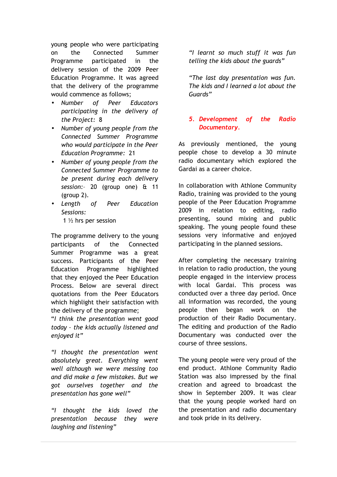young people who were participating on the Connected Summer Programme participated in the delivery session of the 2009 Peer Education Programme. It was agreed that the delivery of the programme would commence as follows;

- *Number of Peer Educators participating in the delivery of the Project:* 8
- *Number of young people from the Connected Summer Programme who would participate in the Peer Education Programme:* 21
- *Number of young people from the Connected Summer Programme to be present during each delivery session:*– 20 (group one) & 11 (group 2).
- *Length of Peer Education Sessions:*  1 ½ hrs per session

The programme delivery to the young participants of the Connected Summer Programme was a great success. Participants of the Peer Education Programme highlighted that they enjoyed the Peer Education Process. Below are several direct quotations from the Peer Educators which highlight their satisfaction with the delivery of the programme;

"*I think the presentation went good today – the kids actually listened and enjoyed it"*

*"I thought the presentation went absolutely great. Everything went well although we were messing too and did make a few mistakes. But we got ourselves together and the presentation has gone well"*

*"I thought the kids loved the presentation because they were laughing and listening"*

*"I learnt so much stuff it was fun telling the kids about the guards"*

*"The last day presentation was fun. The kids and I learned a lot about the Guards"*

# *5. Development of the Radio Documentary.*

As previously mentioned, the young people chose to develop a 30 minute radio documentary which explored the Gardai as a career choice.

In collaboration with Athlone Community Radio, training was provided to the young people of the Peer Education Programme 2009 in relation to editing, radio presenting, sound mixing and public speaking. The young people found these sessions very informative and enjoyed participating in the planned sessions.

After completing the necessary training in relation to radio production, the young people engaged in the interview process with local Gardai. This process was conducted over a three day period. Once all information was recorded, the young people then began work on the production of their Radio Documentary. The editing and production of the Radio Documentary was conducted over the course of three sessions.

The young people were very proud of the end product. Athlone Community Radio Station was also impressed by the final creation and agreed to broadcast the show in September 2009. It was clear that the young people worked hard on the presentation and radio documentary and took pride in its delivery.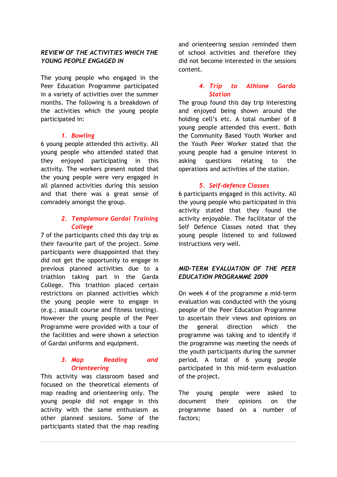## *REVIEW OF THE ACTIVITIES WHICH THE YOUNG PEOPLE ENGAGED IN*

The young people who engaged in the Peer Education Programme participated in a variety of activities over the summer months. The following is a breakdown of the activities which the young people participated in:

### *1. Bowling*

6 young people attended this activity. All young people who attended stated that they enjoyed participating in this activity. The workers present noted that the young people were very engaged in all planned activities during this session and that there was a great sense of comradely amongst the group.

### *2. Templemore Gardai Training College*

7 of the participants cited this day trip as their favourite part of the project. Some participants were disappointed that they did not get the opportunity to engage in previous planned activities due to a triathlon taking part in the Garda College. This triathlon placed certain restrictions on planned activities which the young people were to engage in (e.g.; assault course and fitness testing). However the young people of the Peer Programme were provided with a tour of the facilities and were shown a selection of Gardai uniforms and equipment.

#### *3. Map Reading and Orienteering*

This activity was classroom based and focused on the theoretical elements of map reading and orienteering only. The young people did not engage in this activity with the same enthusiasm as other planned sessions. Some of the participants stated that the map reading and orienteering session reminded them of school activities and therefore they did not become interested in the sessions content.

#### *4. Trip to Athlone Garda Station*

The group found this day trip interesting and enjoyed being shown around the holding cell's etc. A total number of 8 young people attended this event. Both the Community Based Youth Worker and the Youth Peer Worker stated that the young people had a genuine interest in asking questions relating to the operations and activities of the station.

### *5. Self-defence Classes*

6 participants engaged in this activity. All the young people who participated in this activity stated that they found the activity enjoyable. The facilitator of the Self Defence Classes noted that they young people listened to and followed instructions very well.

# *MID-TERM EVALUATION OF THE PEER EDUCATION PROGRAMME 2009*

On week 4 of the programme a mid-term evaluation was conducted with the young people of the Peer Education Programme to ascertain their views and opinions on the general direction which the programme was taking and to identify if the programme was meeting the needs of the youth participants during the summer period. A total of 6 young people participated in this mid-term evaluation of the project.

The young people were asked to document their opinions on the programme based on a number of factors;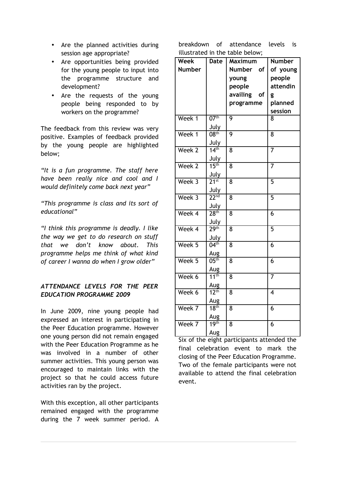- Are the planned activities during session age appropriate?
- Are opportunities being provided for the young people to input into the programme structure and development?
- Are the requests of the young people being responded to by workers on the programme?

The feedback from this review was very positive. Examples of feedback provided by the young people are highlighted below;

*"It is a fun programme. The staff here have been really nice and cool and I would definitely come back next year"*

*"This programme is class and its sort of educational"*

*"I think this programme is deadly. I like the way we get to do research on stuff that we don't know about. This programme helps me think of what kind of career I wanna do when I grow older"*

## *ATTENDANCE LEVELS FOR THE PEER EDUCATION PROGRAMME 2009*

In June 2009, nine young people had expressed an interest in participating in the Peer Education programme. However one young person did not remain engaged with the Peer Education Programme as he was involved in a number of other summer activities. This young person was encouraged to maintain links with the project so that he could access future activities ran by the project.

With this exception, all other participants remained engaged with the programme during the 7 week summer period. A

breakdown of attendance levels is illustrated in the table below;

| <b>Week</b>   | Date                 | , איטיע טעווי<br><b>Maximum</b> | <b>Number</b>  |
|---------------|----------------------|---------------------------------|----------------|
| <b>Number</b> |                      | <b>Number</b><br>οf             | of young       |
|               |                      | young                           | people         |
|               |                      | people                          | attendin       |
|               |                      | availing<br>οf                  | g              |
|               |                      | programme                       | planned        |
|               |                      |                                 | session        |
| Week 1        | $07^{\text{th}}$     | 9                               | 8              |
|               | July                 |                                 |                |
| Week 1        | 08 <sup>th</sup>     | 9                               | 8              |
|               | July                 |                                 |                |
| Week 2        | 14 <sup>th</sup>     | 8                               | 7              |
|               | July                 |                                 |                |
| Week 2        | 15 <sup>th</sup>     | 8                               | $\overline{7}$ |
|               | July                 |                                 |                |
| Week 3        | $2\overline{1^{st}}$ | 8                               | 5              |
|               | July                 |                                 |                |
| Week 3        | 22 <sup>nd</sup>     | 8                               | 5              |
|               | July                 |                                 |                |
| Week 4        | 28 <sup>th</sup>     | 8                               | 6              |
|               | July                 |                                 |                |
| Week 4        | 29 <sup>th</sup>     | 8                               | 5              |
|               | July                 |                                 |                |
| Week 5        | 04 <sup>th</sup>     | 8                               | 6              |
|               | Aug                  |                                 |                |
| Week 5        | $05^{\rm th}$        | 8                               | 6              |
|               | Aug                  |                                 |                |
| Week 6        | 11 <sup>th</sup>     | 8                               | $\overline{7}$ |
|               | Aug                  |                                 |                |
| Week 6        | $12^{\text{th}}$     | 8                               | 4              |
|               | Aug                  |                                 |                |
| Week 7        | 18 <sup>th</sup>     | 8                               | 6              |
|               | Aug                  |                                 |                |
| Week 7        | 19 <sup>th</sup>     | 8                               | 6              |
|               | Aug                  |                                 |                |

Six of the eight participants attended the final celebration event to mark the closing of the Peer Education Programme. Two of the female participants were not available to attend the final celebration event.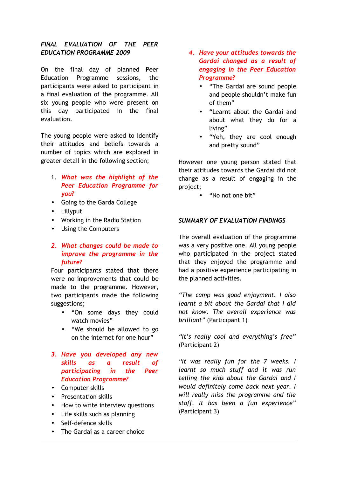### *FINAL EVALUATION OF THE PEER EDUCATION PROGRAMME 2009*

On the final day of planned Peer Education Programme sessions, the participants were asked to participant in a final evaluation of the programme. All six young people who were present on this day participated in the final evaluation.

The young people were asked to identify their attitudes and beliefs towards a number of topics which are explored in greater detail in the following section;

- 1. *What was the highlight of the Peer Education Programme for you?*
- Going to the Garda College
- Lillyput
- Working in the Radio Station
- Using the Computers

### *2. What changes could be made to improve the programme in the future?*

Four participants stated that there were no improvements that could be made to the programme. However, two participants made the following suggestions;

- "On some days they could watch movies"
- "We should be allowed to go on the internet for one hour"

## *3. Have you developed any new skills as a result of participating in the Peer Education Programme?*

- Computer skills
- Presentation skills
- How to write interview questions
- Life skills such as planning
- Self-defence skills
- The Gardai as a career choice
- *4. Have your attitudes towards the Gardai changed as a result of engaging in the Peer Education Programme?*
	- "The Gardai are sound people and people shouldn't make fun of them"
	- "Learnt about the Gardai and about what they do for a living"
	- "Yeh, they are cool enough and pretty sound"

However one young person stated that their attitudes towards the Gardai did not change as a result of engaging in the project;

• "No not one bit"

#### *SUMMARY OF EVALUATION FINDINGS*

The overall evaluation of the programme was a very positive one. All young people who participated in the project stated that they enjoyed the programme and had a positive experience participating in the planned activities.

*"The camp was good enjoyment. I also learnt a bit about the Gardai that I did not know. The overall experience was brilliant"* (Participant 1)

*"It's really cool and everything's free"* (Participant 2)

*"It was really fun for the 7 weeks. I learnt so much stuff and it was run telling the kids about the Gardai and I would definitely come back next year. I will really miss the programme and the staff. It has been a fun experience"* (Participant 3)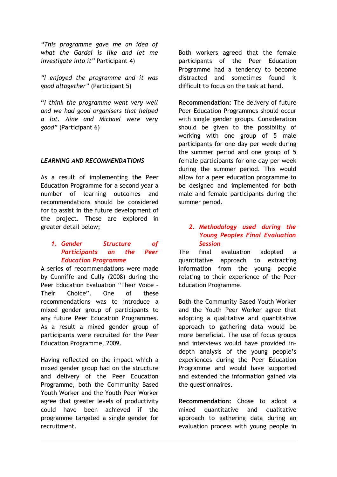*"This programme gave me an idea of what the Gardai is like and let me investigate into it"* Participant 4)

*"I enjoyed the programme and it was good altogether"* (Participant 5)

"*I think the programme went very well and we had good organisers that helped a lot. Aine and Michael were very good"* (Participant 6)

#### *LEARNING AND RECOMMENDATIONS*

As a result of implementing the Peer Education Programme for a second year a number of learning outcomes and recommendations should be considered for to assist in the future development of the project. These are explored in greater detail below;

### *1. Gender Structure of Participants on the Peer Education Programme*

A series of recommendations were made by Cunniffe and Cully (2008) during the Peer Education Evaluation "Their Voice – Their Choice". One of these recommendations was to introduce a mixed gender group of participants to any future Peer Education Programmes. As a result a mixed gender group of participants were recruited for the Peer Education Programme, 2009.

Having reflected on the impact which a mixed gender group had on the structure and delivery of the Peer Education Programme, both the Community Based Youth Worker and the Youth Peer Worker agree that greater levels of productivity could have been achieved if the programme targeted a single gender for recruitment.

Both workers agreed that the female participants of the Peer Education Programme had a tendency to become distracted and sometimes found it difficult to focus on the task at hand.

**Recommendation:** The delivery of future Peer Education Programmes should occur with single gender groups. Consideration should be given to the possibility of working with one group of 5 male participants for one day per week during the summer period and one group of 5 female participants for one day per week during the summer period. This would allow for a peer education programme to be designed and implemented for both male and female participants during the summer period.

### *2. Methodology used during the Young Peoples Final Evaluation Session*

The final evaluation adopted a quantitative approach to extracting information from the young people relating to their experience of the Peer Education Programme.

Both the Community Based Youth Worker and the Youth Peer Worker agree that adopting a qualitative and quantitative approach to gathering data would be more beneficial. The use of focus groups and interviews would have provided indepth analysis of the young people's experiences during the Peer Education Programme and would have supported and extended the information gained via the questionnaires.

**Recommendation:** Chose to adopt a mixed quantitative and qualitative approach to gathering data during an evaluation process with young people in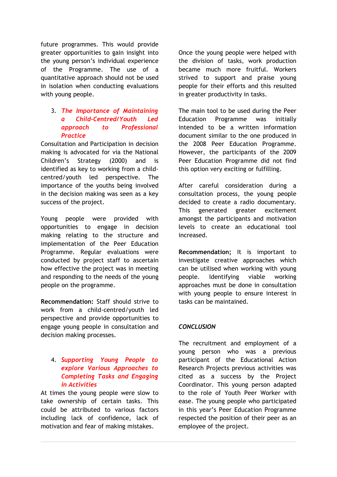future programmes. This would provide greater opportunities to gain insight into the young person's individual experience of the Programme. The use of a quantitative approach should not be used in isolation when conducting evaluations with young people.

## 3. *The Importance of Maintaining a Child-Centred/Youth Led approach to Professional Practice*

Consultation and Participation in decision making is advocated for via the National Children's Strategy (2000) and is identified as key to working from a childcentred/youth led perspective. The importance of the youths being involved in the decision making was seen as a key success of the project.

Young people were provided with opportunities to engage in decision making relating to the structure and implementation of the Peer Education Programme. Regular evaluations were conducted by project staff to ascertain how effective the project was in meeting and responding to the needs of the young people on the programme.

**Recommendation:** Staff should strive to work from a child-centred/youth led perspective and provide opportunities to engage young people in consultation and decision making processes.

### 4. *Supporting Young People to explore Various Approaches to Completing Tasks and Engaging in Activities*

At times the young people were slow to take ownership of certain tasks. This could be attributed to various factors including lack of confidence, lack of motivation and fear of making mistakes.

Once the young people were helped with the division of tasks, work production became much more fruitful. Workers strived to support and praise young people for their efforts and this resulted in greater productivity in tasks.

The main tool to be used during the Peer Education Programme was initially intended to be a written information document similar to the one produced in the 2008 Peer Education Programme. However, the participants of the 2009 Peer Education Programme did not find this option very exciting or fulfilling.

After careful consideration during a consultation process, the young people decided to create a radio documentary. This generated greater excitement amongst the participants and motivation levels to create an educational tool increased.

**Recommendation;** It is important to investigate creative approaches which can be utilised when working with young people. Identifying viable working approaches must be done in consultation with young people to ensure interest in tasks can be maintained.

# *CONCLUSION*

The recruitment and employment of a young person who was a previous participant of the Educational Action Research Projects previous activities was cited as a success by the Project Coordinator. This young person adapted to the role of Youth Peer Worker with ease. The young people who participated in this year's Peer Education Programme respected the position of their peer as an employee of the project.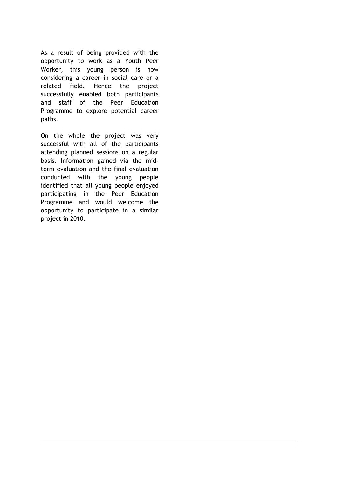As a result of being provided with the opportunity to work as a Youth Peer Worker, this young person is now considering a career in social care or a related field. Hence the project successfully enabled both participants and staff of the Peer Education Programme to explore potential career paths.

On the whole the project was very successful with all of the participants attending planned sessions on a regular basis. Information gained via the midterm evaluation and the final evaluation conducted with the young people identified that all young people enjoyed participating in the Peer Education Programme and would welcome the opportunity to participate in a similar project in 2010.